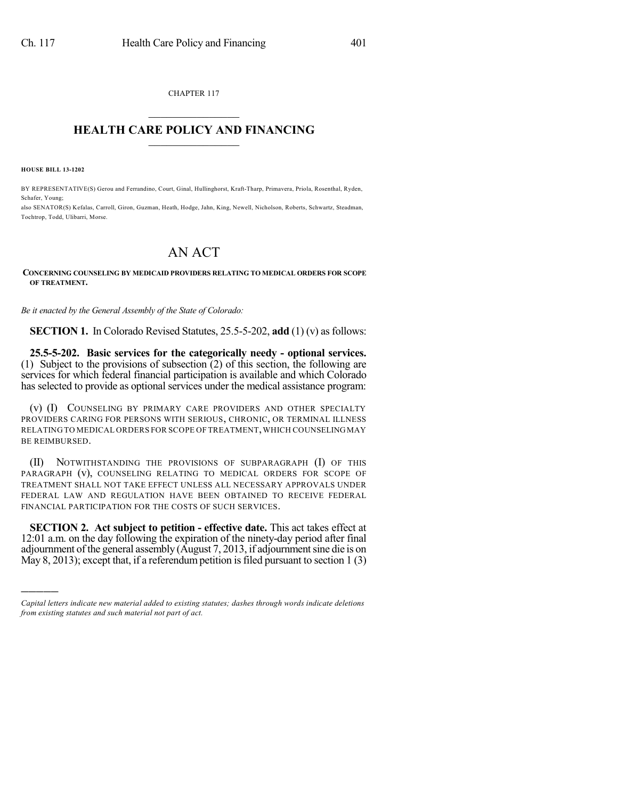CHAPTER 117  $\overline{\phantom{a}}$  . The set of the set of the set of the set of the set of the set of the set of the set of the set of the set of the set of the set of the set of the set of the set of the set of the set of the set of the set o

## **HEALTH CARE POLICY AND FINANCING**  $\_$   $\_$   $\_$   $\_$   $\_$   $\_$   $\_$   $\_$

**HOUSE BILL 13-1202**

)))))

BY REPRESENTATIVE(S) Gerou and Ferrandino, Court, Ginal, Hullinghorst, Kraft-Tharp, Primavera, Priola, Rosenthal, Ryden, Schafer, Young;

also SENATOR(S) Kefalas, Carroll, Giron, Guzman, Heath, Hodge, Jahn, King, Newell, Nicholson, Roberts, Schwartz, Steadman, Tochtrop, Todd, Ulibarri, Morse.

## AN ACT

## **CONCERNING COUNSELING BY MEDICAID PROVIDERS RELATING TO MEDICAL ORDERS FOR SCOPE OF TREATMENT.**

*Be it enacted by the General Assembly of the State of Colorado:*

**SECTION 1.** In Colorado Revised Statutes, 25.5-5-202, add (1) (v) as follows:

**25.5-5-202. Basic services for the categorically needy - optional services.** (1) Subject to the provisions of subsection (2) of this section, the following are services for which federal financial participation is available and which Colorado has selected to provide as optional services under the medical assistance program:

(v) (I) COUNSELING BY PRIMARY CARE PROVIDERS AND OTHER SPECIALTY PROVIDERS CARING FOR PERSONS WITH SERIOUS, CHRONIC, OR TERMINAL ILLNESS RELATING TO MEDICAL ORDERS FOR SCOPE OF TREATMENT, WHICH COUNSELING MAY BE REIMBURSED.

(II) NOTWITHSTANDING THE PROVISIONS OF SUBPARAGRAPH (I) OF THIS PARAGRAPH (v), COUNSELING RELATING TO MEDICAL ORDERS FOR SCOPE OF TREATMENT SHALL NOT TAKE EFFECT UNLESS ALL NECESSARY APPROVALS UNDER FEDERAL LAW AND REGULATION HAVE BEEN OBTAINED TO RECEIVE FEDERAL FINANCIAL PARTICIPATION FOR THE COSTS OF SUCH SERVICES.

**SECTION 2. Act subject to petition - effective date.** This act takes effect at 12:01 a.m. on the day following the expiration of the ninety-day period after final adjournment of the general assembly (August 7, 2013, if adjournment sine die is on May 8, 2013); except that, if a referendum petition is filed pursuant to section  $1(3)$ 

*Capital letters indicate new material added to existing statutes; dashes through words indicate deletions from existing statutes and such material not part of act.*